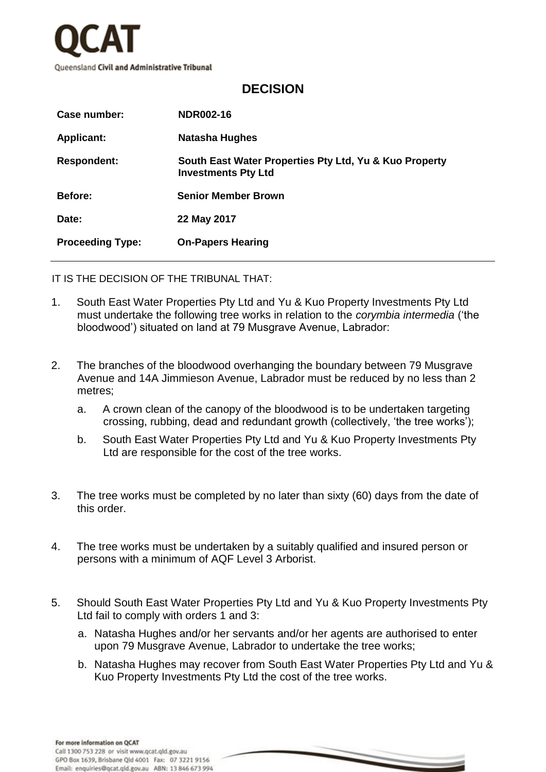

## **DECISION**

| Case number:            | NDR002-16                                                                            |
|-------------------------|--------------------------------------------------------------------------------------|
| <b>Applicant:</b>       | <b>Natasha Hughes</b>                                                                |
| <b>Respondent:</b>      | South East Water Properties Pty Ltd, Yu & Kuo Property<br><b>Investments Pty Ltd</b> |
| <b>Before:</b>          | <b>Senior Member Brown</b>                                                           |
| Date:                   | 22 May 2017                                                                          |
| <b>Proceeding Type:</b> | <b>On-Papers Hearing</b>                                                             |

IT IS THE DECISION OF THE TRIBUNAL THAT:

- 1. South East Water Properties Pty Ltd and Yu & Kuo Property Investments Pty Ltd must undertake the following tree works in relation to the *corymbia intermedia* ('the bloodwood') situated on land at 79 Musgrave Avenue, Labrador:
- 2. The branches of the bloodwood overhanging the boundary between 79 Musgrave Avenue and 14A Jimmieson Avenue, Labrador must be reduced by no less than 2 metres;
	- a. A crown clean of the canopy of the bloodwood is to be undertaken targeting crossing, rubbing, dead and redundant growth (collectively, 'the tree works');
	- b. South East Water Properties Pty Ltd and Yu & Kuo Property Investments Pty Ltd are responsible for the cost of the tree works.
- 3. The tree works must be completed by no later than sixty (60) days from the date of this order.
- 4. The tree works must be undertaken by a suitably qualified and insured person or persons with a minimum of AQF Level 3 Arborist.
- 5. Should South East Water Properties Pty Ltd and Yu & Kuo Property Investments Pty Ltd fail to comply with orders 1 and 3:
	- a. Natasha Hughes and/or her servants and/or her agents are authorised to enter upon 79 Musgrave Avenue, Labrador to undertake the tree works;
	- b. Natasha Hughes may recover from South East Water Properties Pty Ltd and Yu & Kuo Property Investments Pty Ltd the cost of the tree works.

For more information on QCAT Call 1300 753 228 or visit www.ocat.old.gov.au GPO Box 1639, Brisbane Old 4001 Fax: 07 3221 9156 Email: enquiries@qcat.qld.gov.au ABN: 13 846 673 994